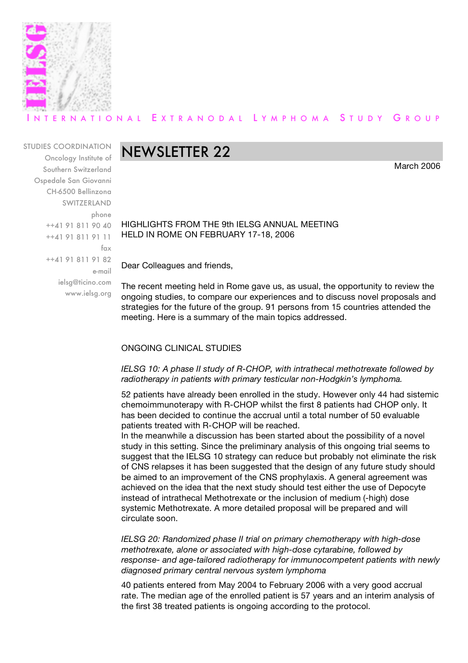

# ERNATIONAL EXTRANODAL LYMPHOMA STUDY GROUP

STUDIES COORDINATION

Oncology Institute of Southern Switzerland Ospedale San Giovanni CH-6500 Bellinzona SWITZERLAND phone ++41 91 811 90 40 ++41 91 811 91 11 fax ++41 91 811 91 82 e-mail ielsg@ticino.com www.ielsg.org

# NEWSLETTER 22

March 2006

HIGHLIGHTS FROM THE 9th IELSG ANNUAL MEETING HELD IN ROME ON FEBRUARY 17-18, 2006

Dear Colleagues and friends,

The recent meeting held in Rome gave us, as usual, the opportunity to review the ongoing studies, to compare our experiences and to discuss novel proposals and strategies for the future of the group. 91 persons from 15 countries attended the meeting. Here is a summary of the main topics addressed.

# ONGOING CLINICAL STUDIES

# *IELSG 10: A phase II study of R-CHOP, with intrathecal methotrexate followed by radiotherapy in patients with primary testicular non-Hodgkin's lymphoma.*

52 patients have already been enrolled in the study. However only 44 had sistemic chemoimmunoterapy with R-CHOP whilst the first 8 patients had CHOP only. It has been decided to continue the accrual until a total number of 50 evaluable patients treated with R-CHOP will be reached.

In the meanwhile a discussion has been started about the possibility of a novel study in this setting. Since the preliminary analysis of this ongoing trial seems to suggest that the IELSG 10 strategy can reduce but probably not eliminate the risk of CNS relapses it has been suggested that the design of any future study should be aimed to an improvement of the CNS prophylaxis. A general agreement was achieved on the idea that the next study should test either the use of Depocyte instead of intrathecal Methotrexate or the inclusion of medium (-high) dose systemic Methotrexate. A more detailed proposal will be prepared and will circulate soon.

*IELSG 20: Randomized phase II trial on primary chemotherapy with high-dose methotrexate, alone or associated with high-dose cytarabine, followed by response- and age-tailored radiotherapy for immunocompetent patients with newly diagnosed primary central nervous system lymphoma*

40 patients entered from May 2004 to February 2006 with a very good accrual rate. The median age of the enrolled patient is 57 years and an interim analysis of the first 38 treated patients is ongoing according to the protocol.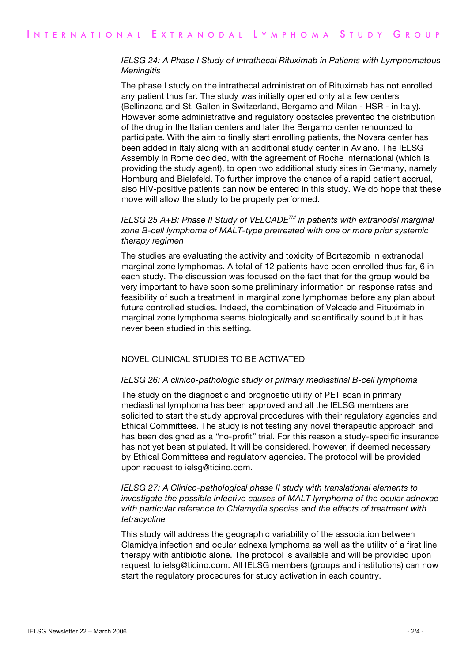# *IELSG 24: A Phase I Study of Intrathecal Rituximab in Patients with Lymphomatous Meningitis*

The phase I study on the intrathecal administration of Rituximab has not enrolled any patient thus far. The study was initially opened only at a few centers (Bellinzona and St. Gallen in Switzerland, Bergamo and Milan - HSR - in Italy). However some administrative and regulatory obstacles prevented the distribution of the drug in the Italian centers and later the Bergamo center renounced to participate. With the aim to finally start enrolling patients, the Novara center has been added in Italy along with an additional study center in Aviano. The IELSG Assembly in Rome decided, with the agreement of Roche International (which is providing the study agent), to open two additional study sites in Germany, namely Homburg and Bielefeld. To further improve the chance of a rapid patient accrual, also HIV-positive patients can now be entered in this study. We do hope that these move will allow the study to be properly performed.

# *IELSG 25 A+B: Phase II Study of VELCADETM in patients with extranodal marginal zone B-cell lymphoma of MALT-type pretreated with one or more prior systemic therapy regimen*

The studies are evaluating the activity and toxicity of Bortezomib in extranodal marginal zone lymphomas. A total of 12 patients have been enrolled thus far, 6 in each study. The discussion was focused on the fact that for the group would be very important to have soon some preliminary information on response rates and feasibility of such a treatment in marginal zone lymphomas before any plan about future controlled studies. Indeed, the combination of Velcade and Rituximab in marginal zone lymphoma seems biologically and scientifically sound but it has never been studied in this setting.

# NOVEL CLINICAL STUDIES TO BE ACTIVATED

#### *IELSG 26: A clinico-pathologic study of primary mediastinal B-cell lymphoma*

The study on the diagnostic and prognostic utility of PET scan in primary mediastinal lymphoma has been approved and all the IELSG members are solicited to start the study approval procedures with their regulatory agencies and Ethical Committees. The study is not testing any novel therapeutic approach and has been designed as a "no-profit" trial. For this reason a study-specific insurance has not yet been stipulated. It will be considered, however, if deemed necessary by Ethical Committees and regulatory agencies. The protocol will be provided upon request to ielsg@ticino.com.

# *IELSG 27: A Clinico-pathological phase II study with translational elements to investigate the possible infective causes of MALT lymphoma of the ocular adnexae with particular reference to Chlamydia species and the effects of treatment with tetracycline*

This study will address the geographic variability of the association between Clamidya infection and ocular adnexa lymphoma as well as the utility of a first line therapy with antibiotic alone. The protocol is available and will be provided upon request to ielsg@ticino.com. All IELSG members (groups and institutions) can now start the regulatory procedures for study activation in each country.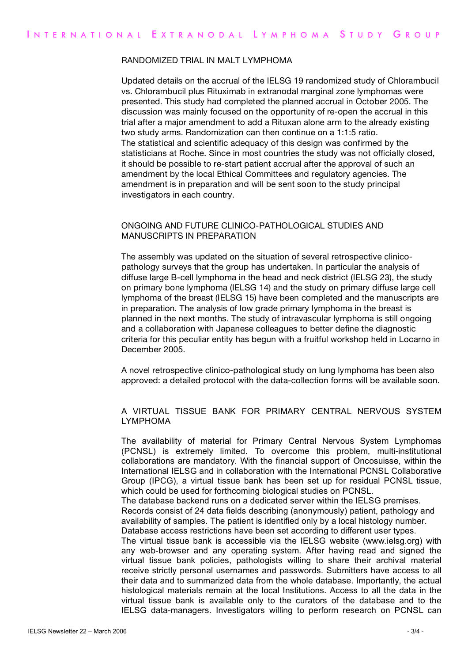#### RANDOMIZED TRIAL IN MALT LYMPHOMA

Updated details on the accrual of the IELSG 19 randomized study of Chlorambucil vs. Chlorambucil plus Rituximab in extranodal marginal zone lymphomas were presented. This study had completed the planned accrual in October 2005. The discussion was mainly focused on the opportunity of re-open the accrual in this trial after a major amendment to add a Rituxan alone arm to the already existing two study arms. Randomization can then continue on a 1:1:5 ratio. The statistical and scientific adequacy of this design was confirmed by the statisticians at Roche. Since in most countries the study was not officially closed, it should be possible to re-start patient accrual after the approval of such an amendment by the local Ethical Committees and regulatory agencies. The amendment is in preparation and will be sent soon to the study principal investigators in each country.

## ONGOING AND FUTURE CLINICO-PATHOLOGICAL STUDIES AND MANUSCRIPTS IN PREPARATION

The assembly was updated on the situation of several retrospective clinicopathology surveys that the group has undertaken. In particular the analysis of diffuse large B-cell lymphoma in the head and neck district (IELSG 23), the study on primary bone lymphoma (IELSG 14) and the study on primary diffuse large cell lymphoma of the breast (IELSG 15) have been completed and the manuscripts are in preparation. The analysis of low grade primary lymphoma in the breast is planned in the next months. The study of intravascular lymphoma is still ongoing and a collaboration with Japanese colleagues to better define the diagnostic criteria for this peculiar entity has begun with a fruitful workshop held in Locarno in December 2005.

A novel retrospective clinico-pathological study on lung lymphoma has been also approved: a detailed protocol with the data-collection forms will be available soon.

## A VIRTUAL TISSUE BANK FOR PRIMARY CENTRAL NERVOUS SYSTEM LYMPHOMA

The availability of material for Primary Central Nervous System Lymphomas (PCNSL) is extremely limited. To overcome this problem, multi-institutional collaborations are mandatory. With the financial support of Oncosuisse, within the International IELSG and in collaboration with the International PCNSL Collaborative Group (IPCG), a virtual tissue bank has been set up for residual PCNSL tissue, which could be used for forthcoming biological studies on PCNSL.

The database backend runs on a dedicated server within the IELSG premises.

Records consist of 24 data fields describing (anonymously) patient, pathology and availability of samples. The patient is identified only by a local histology number. Database access restrictions have been set according to different user types.

The virtual tissue bank is accessible via the IELSG website (www.ielsg.org) with any web-browser and any operating system. After having read and signed the virtual tissue bank policies, pathologists willing to share their archival material receive strictly personal usernames and passwords. Submitters have access to all their data and to summarized data from the whole database. Importantly, the actual histological materials remain at the local Institutions. Access to all the data in the virtual tissue bank is available only to the curators of the database and to the IELSG data-managers. Investigators willing to perform research on PCNSL can